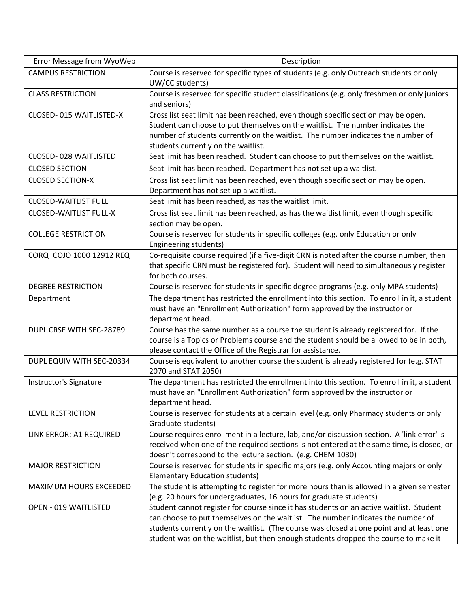| Error Message from WyoWeb     | Description                                                                                                                      |
|-------------------------------|----------------------------------------------------------------------------------------------------------------------------------|
| <b>CAMPUS RESTRICTION</b>     | Course is reserved for specific types of students (e.g. only Outreach students or only                                           |
|                               | UW/CC students)                                                                                                                  |
| <b>CLASS RESTRICTION</b>      | Course is reserved for specific student classifications (e.g. only freshmen or only juniors                                      |
|                               | and seniors)                                                                                                                     |
| CLOSED-015 WAITLISTED-X       | Cross list seat limit has been reached, even though specific section may be open.                                                |
|                               | Student can choose to put themselves on the waitlist. The number indicates the                                                   |
|                               | number of students currently on the waitlist. The number indicates the number of                                                 |
| <b>CLOSED-028 WAITLISTED</b>  | students currently on the waitlist.                                                                                              |
|                               | Seat limit has been reached. Student can choose to put themselves on the waitlist.                                               |
| <b>CLOSED SECTION</b>         | Seat limit has been reached. Department has not set up a waitlist.                                                               |
| <b>CLOSED SECTION-X</b>       | Cross list seat limit has been reached, even though specific section may be open.                                                |
|                               | Department has not set up a waitlist.                                                                                            |
| <b>CLOSED-WAITLIST FULL</b>   | Seat limit has been reached, as has the waitlist limit.                                                                          |
| <b>CLOSED-WAITLIST FULL-X</b> | Cross list seat limit has been reached, as has the waitlist limit, even though specific                                          |
|                               | section may be open.                                                                                                             |
| <b>COLLEGE RESTRICTION</b>    | Course is reserved for students in specific colleges (e.g. only Education or only                                                |
| CORQ_COJO 1000 12912 REQ      | Engineering students)<br>Co-requisite course required (if a five-digit CRN is noted after the course number, then                |
|                               | that specific CRN must be registered for). Student will need to simultaneously register                                          |
|                               | for both courses.                                                                                                                |
| <b>DEGREE RESTRICTION</b>     | Course is reserved for students in specific degree programs (e.g. only MPA students)                                             |
| Department                    | The department has restricted the enrollment into this section. To enroll in it, a student                                       |
|                               | must have an "Enrollment Authorization" form approved by the instructor or                                                       |
|                               | department head.                                                                                                                 |
| DUPL CRSE WITH SEC-28789      | Course has the same number as a course the student is already registered for. If the                                             |
|                               | course is a Topics or Problems course and the student should be allowed to be in both,                                           |
|                               | please contact the Office of the Registrar for assistance.                                                                       |
| DUPL EQUIV WITH SEC-20334     | Course is equivalent to another course the student is already registered for (e.g. STAT                                          |
|                               | 2070 and STAT 2050)                                                                                                              |
| Instructor's Signature        | The department has restricted the enrollment into this section. To enroll in it, a student                                       |
|                               | must have an "Enrollment Authorization" form approved by the instructor or                                                       |
|                               | department head.                                                                                                                 |
| <b>LEVEL RESTRICTION</b>      | Course is reserved for students at a certain level (e.g. only Pharmacy students or only                                          |
|                               | Graduate students)                                                                                                               |
| LINK ERROR: A1 REQUIRED       | Course requires enrollment in a lecture, lab, and/or discussion section. A 'link error' is                                       |
|                               | received when one of the required sections is not entered at the same time, is closed, or                                        |
| <b>MAJOR RESTRICTION</b>      | doesn't correspond to the lecture section. (e.g. CHEM 1030)                                                                      |
|                               | Course is reserved for students in specific majors (e.g. only Accounting majors or only<br><b>Elementary Education students)</b> |
| MAXIMUM HOURS EXCEEDED        | The student is attempting to register for more hours than is allowed in a given semester                                         |
|                               | (e.g. 20 hours for undergraduates, 16 hours for graduate students)                                                               |
| OPEN - 019 WAITLISTED         | Student cannot register for course since it has students on an active waitlist. Student                                          |
|                               | can choose to put themselves on the waitlist. The number indicates the number of                                                 |
|                               | students currently on the waitlist. (The course was closed at one point and at least one                                         |
|                               | student was on the waitlist, but then enough students dropped the course to make it                                              |